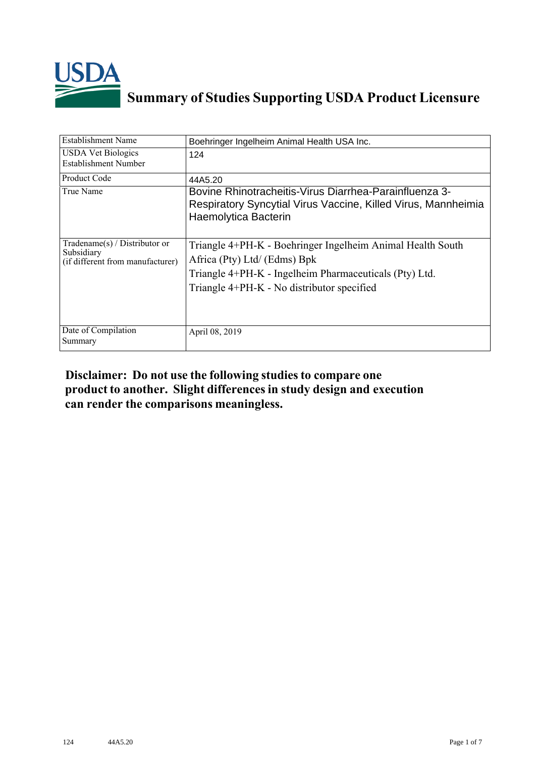

## **Summary of Studies Supporting USDA Product Licensure**

| <b>Establishment Name</b>                                                          | Boehringer Ingelheim Animal Health USA Inc.                                                                                                                                                        |
|------------------------------------------------------------------------------------|----------------------------------------------------------------------------------------------------------------------------------------------------------------------------------------------------|
| <b>USDA Vet Biologics</b><br>Establishment Number                                  | 124                                                                                                                                                                                                |
| <b>Product Code</b>                                                                | 44A5.20                                                                                                                                                                                            |
| True Name                                                                          | Bovine Rhinotracheitis-Virus Diarrhea-Parainfluenza 3-<br>Respiratory Syncytial Virus Vaccine, Killed Virus, Mannheimia<br>Haemolytica Bacterin                                                    |
| Tradename $(s)$ / Distributor or<br>Subsidiary<br>(if different from manufacturer) | Triangle 4+PH-K - Boehringer Ingelheim Animal Health South<br>Africa (Pty) Ltd/ (Edms) Bpk<br>Triangle 4+PH-K - Ingelheim Pharmaceuticals (Pty) Ltd.<br>Triangle 4+PH-K - No distributor specified |
| Date of Compilation<br>Summary                                                     | April 08, 2019                                                                                                                                                                                     |

## **Disclaimer: Do not use the following studiesto compare one product to another. Slight differencesin study design and execution can render the comparisons meaningless.**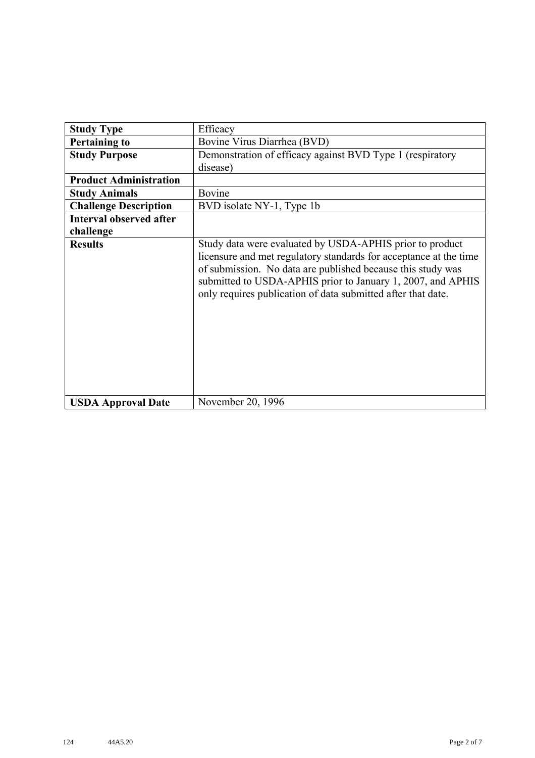| <b>Study Type</b>              | Efficacy                                                                                                                                                                                                                                                                                                                    |
|--------------------------------|-----------------------------------------------------------------------------------------------------------------------------------------------------------------------------------------------------------------------------------------------------------------------------------------------------------------------------|
| <b>Pertaining to</b>           | Bovine Virus Diarrhea (BVD)                                                                                                                                                                                                                                                                                                 |
| <b>Study Purpose</b>           | Demonstration of efficacy against BVD Type 1 (respiratory                                                                                                                                                                                                                                                                   |
|                                | disease)                                                                                                                                                                                                                                                                                                                    |
| <b>Product Administration</b>  |                                                                                                                                                                                                                                                                                                                             |
| <b>Study Animals</b>           | Bovine                                                                                                                                                                                                                                                                                                                      |
| <b>Challenge Description</b>   | BVD isolate NY-1, Type 1b                                                                                                                                                                                                                                                                                                   |
| <b>Interval observed after</b> |                                                                                                                                                                                                                                                                                                                             |
| challenge                      |                                                                                                                                                                                                                                                                                                                             |
| <b>Results</b>                 | Study data were evaluated by USDA-APHIS prior to product<br>licensure and met regulatory standards for acceptance at the time<br>of submission. No data are published because this study was<br>submitted to USDA-APHIS prior to January 1, 2007, and APHIS<br>only requires publication of data submitted after that date. |
| <b>USDA Approval Date</b>      | November 20, 1996                                                                                                                                                                                                                                                                                                           |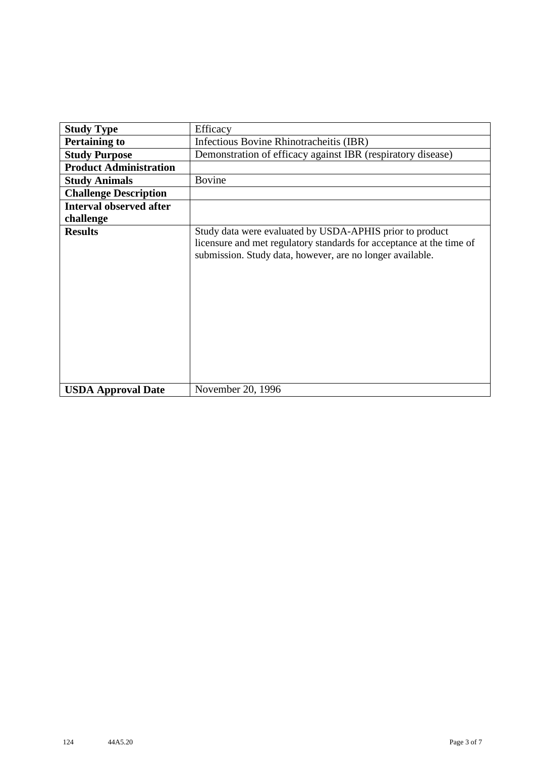| <b>Study Type</b>              | Efficacy                                                                                                                                                                                      |
|--------------------------------|-----------------------------------------------------------------------------------------------------------------------------------------------------------------------------------------------|
| <b>Pertaining to</b>           | Infectious Bovine Rhinotracheitis (IBR)                                                                                                                                                       |
| <b>Study Purpose</b>           | Demonstration of efficacy against IBR (respiratory disease)                                                                                                                                   |
| <b>Product Administration</b>  |                                                                                                                                                                                               |
| <b>Study Animals</b>           | <b>Bovine</b>                                                                                                                                                                                 |
| <b>Challenge Description</b>   |                                                                                                                                                                                               |
| <b>Interval observed after</b> |                                                                                                                                                                                               |
| challenge                      |                                                                                                                                                                                               |
| <b>Results</b>                 | Study data were evaluated by USDA-APHIS prior to product<br>licensure and met regulatory standards for acceptance at the time of<br>submission. Study data, however, are no longer available. |
| <b>USDA Approval Date</b>      | November 20, 1996                                                                                                                                                                             |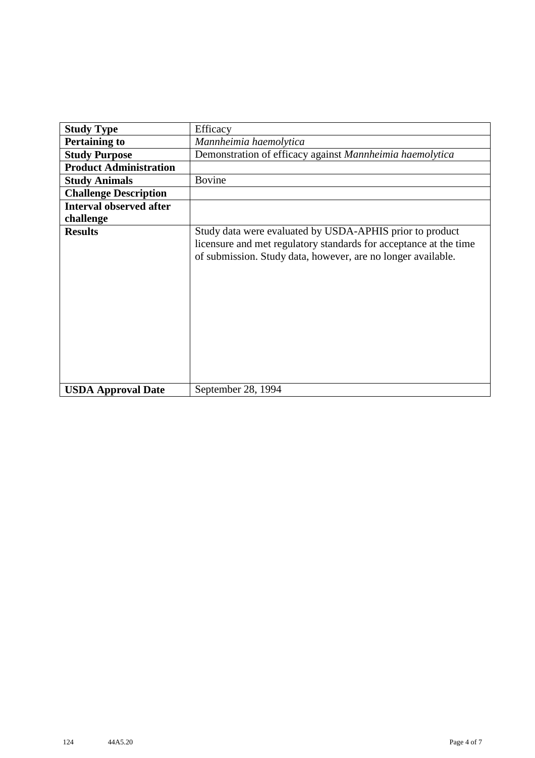| <b>Study Type</b>              | Efficacy                                                                                                                                                                                      |
|--------------------------------|-----------------------------------------------------------------------------------------------------------------------------------------------------------------------------------------------|
| <b>Pertaining to</b>           | Mannheimia haemolytica                                                                                                                                                                        |
| <b>Study Purpose</b>           | Demonstration of efficacy against Mannheimia haemolytica                                                                                                                                      |
| <b>Product Administration</b>  |                                                                                                                                                                                               |
| <b>Study Animals</b>           | <b>Bovine</b>                                                                                                                                                                                 |
| <b>Challenge Description</b>   |                                                                                                                                                                                               |
| <b>Interval observed after</b> |                                                                                                                                                                                               |
| challenge                      |                                                                                                                                                                                               |
| <b>Results</b>                 | Study data were evaluated by USDA-APHIS prior to product<br>licensure and met regulatory standards for acceptance at the time<br>of submission. Study data, however, are no longer available. |
| <b>USDA Approval Date</b>      | September 28, 1994                                                                                                                                                                            |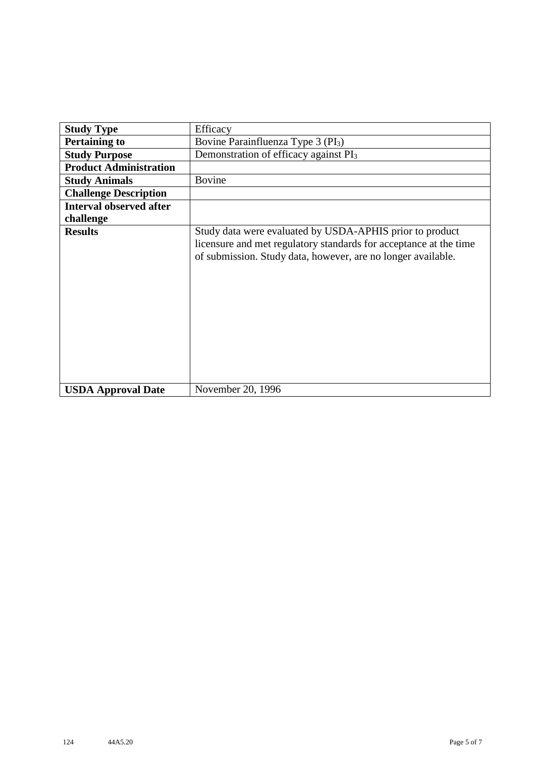| <b>Study Type</b>              | Efficacy                                                                                                                                                                                      |
|--------------------------------|-----------------------------------------------------------------------------------------------------------------------------------------------------------------------------------------------|
| <b>Pertaining to</b>           | Bovine Parainfluenza Type 3 (PI <sub>3</sub> )                                                                                                                                                |
| <b>Study Purpose</b>           | Demonstration of efficacy against PI <sub>3</sub>                                                                                                                                             |
| <b>Product Administration</b>  |                                                                                                                                                                                               |
| <b>Study Animals</b>           | <b>Bovine</b>                                                                                                                                                                                 |
| <b>Challenge Description</b>   |                                                                                                                                                                                               |
| <b>Interval observed after</b> |                                                                                                                                                                                               |
| challenge                      |                                                                                                                                                                                               |
| <b>Results</b>                 | Study data were evaluated by USDA-APHIS prior to product<br>licensure and met regulatory standards for acceptance at the time<br>of submission. Study data, however, are no longer available. |
| <b>USDA Approval Date</b>      | November 20, 1996                                                                                                                                                                             |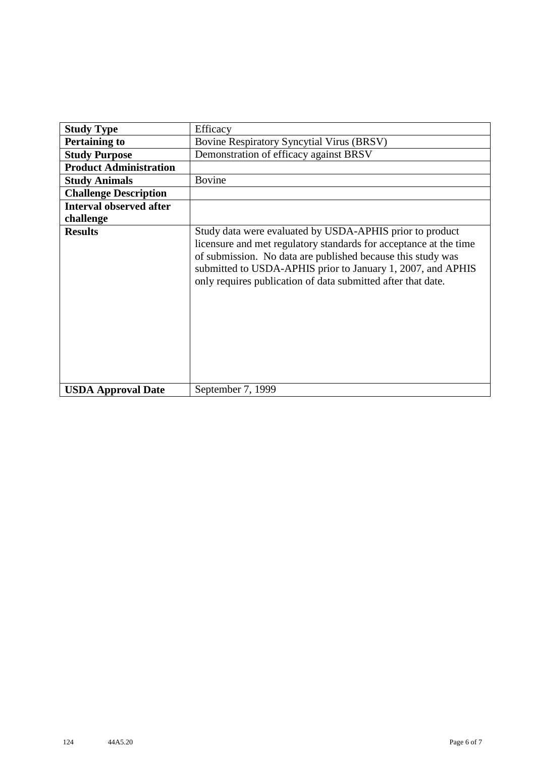| <b>Study Type</b>              | Efficacy                                                                                                                                                                                                                                                                                                                    |
|--------------------------------|-----------------------------------------------------------------------------------------------------------------------------------------------------------------------------------------------------------------------------------------------------------------------------------------------------------------------------|
| <b>Pertaining to</b>           | <b>Bovine Respiratory Syncytial Virus (BRSV)</b>                                                                                                                                                                                                                                                                            |
| <b>Study Purpose</b>           | Demonstration of efficacy against BRSV                                                                                                                                                                                                                                                                                      |
| <b>Product Administration</b>  |                                                                                                                                                                                                                                                                                                                             |
| <b>Study Animals</b>           | <b>Bovine</b>                                                                                                                                                                                                                                                                                                               |
| <b>Challenge Description</b>   |                                                                                                                                                                                                                                                                                                                             |
| <b>Interval observed after</b> |                                                                                                                                                                                                                                                                                                                             |
| challenge                      |                                                                                                                                                                                                                                                                                                                             |
| <b>Results</b>                 | Study data were evaluated by USDA-APHIS prior to product<br>licensure and met regulatory standards for acceptance at the time<br>of submission. No data are published because this study was<br>submitted to USDA-APHIS prior to January 1, 2007, and APHIS<br>only requires publication of data submitted after that date. |
| <b>USDA Approval Date</b>      | September 7, 1999                                                                                                                                                                                                                                                                                                           |